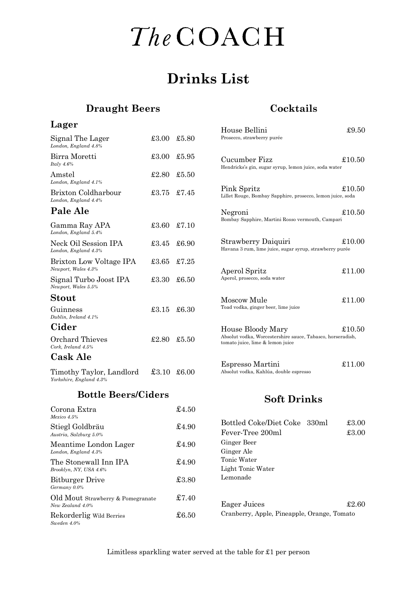## The COACH

### **Drinks List**

#### **Draught Beers**

Rekorderlig Wild Berries  $\pounds 6.50$ 

*Sweden 4.0%*

#### **Cocktails**

Cranberry, Apple, Pineapple, Orange, Tomato

| Lager                                                 |             |                    | House Bellini                                                                                  | £9.50          |
|-------------------------------------------------------|-------------|--------------------|------------------------------------------------------------------------------------------------|----------------|
| Signal The Lager<br>London, England 4.8%              | £3.00       | £5.80              | Prosecco, strawberry purée                                                                     |                |
| Birra Moretti<br>Italy $4.6\%$                        | £3.00       | £5.95              | Cucumber Fizz<br>Hendricks's gin, sugar syrup, lemon juice, soda water                         | £10.50         |
| Amstel<br>London, England 4.1%                        | £2.80       | £5.50              |                                                                                                |                |
| Brixton Coldharbour<br>London, England 4.4%           | £3.75       | £7.45              | Pink Spritz<br>Lillet Rouge, Bombay Sapphire, prosecco, lemon juice, soda                      | £10.50         |
| Pale Ale                                              |             |                    | Negroni                                                                                        | £10.50         |
| Gamma Ray APA<br>London, England 5.4%                 | £3.60       | £7.10              | Bombay Sapphire, Martini Rosso vermouth, Campari                                               |                |
| Neck Oil Session IPA<br>London, England 4.3%          | £3.45       | £6.90              | Strawberry Daiquiri<br>Havana 3 rum, lime juice, sugar syrup, strawberry purée                 | £10.00         |
| Brixton Low Voltage IPA<br>Newport, Wales 4.3%        | £3.65       | £7.25              | Aperol Spritz                                                                                  | £11.00         |
| Signal Turbo Joost IPA<br>Newport, Wales 5.5%         | £3.30       | £6.50              | Aperol, prosecco, soda water                                                                   |                |
| Stout                                                 |             |                    | Moscow Mule                                                                                    | £11.00         |
| Guinness<br>Dublin, Ireland 4.1%                      | £3.15       | £6.30              | Toad vodka, ginger beer, lime juice                                                            |                |
| Cider                                                 |             |                    | House Bloody Mary                                                                              | £10.50         |
| Orchard Thieves<br>Cork, Ireland 4.5%                 | £2.80       | £5.50              | Absolut vodka, Worcestershire sauce, Tabasco, horseradish,<br>tomato juice, lime & lemon juice |                |
| <b>Cask Ale</b>                                       |             |                    |                                                                                                |                |
| Timothy Taylor, Landlord<br>Yorkshire, England 4.3%   | £3.10 £6.00 |                    | Espresso Martini<br>Absolut vodka, Kahlúa, double espresso                                     | £11.00         |
| <b>Bottle Beers/Ciders</b>                            |             | <b>Soft Drinks</b> |                                                                                                |                |
| Corona Extra<br>Mexico 4.5%                           |             | £4.50              |                                                                                                |                |
| Stiegl Goldbräu<br>Austria, Salzburg 5.0%             |             | \$4.90             | Bottled Coke/Diet Coke 330ml<br>Fever-Tree 200ml                                               | £3.00<br>£3.00 |
| Meantime London Lager<br>London, England 4.3%         |             | £4.90              | Ginger Beer<br>Ginger Ale                                                                      |                |
| The Stonewall Inn IPA<br>Brooklyn, NY, USA 4.6%       |             | £4.90              | Tonic Water<br>Light Tonic Water                                                               |                |
| <b>Bitburger Drive</b><br>Germany 0.0%                |             | £3.80              | Lemonade                                                                                       |                |
| Old Mout Strawberry & Pomegranate<br>New Zealand 4.0% |             | £7.40              | <b>Eager Juices</b>                                                                            | £2.60          |

Limitless sparkling water served at the table for £1 per person